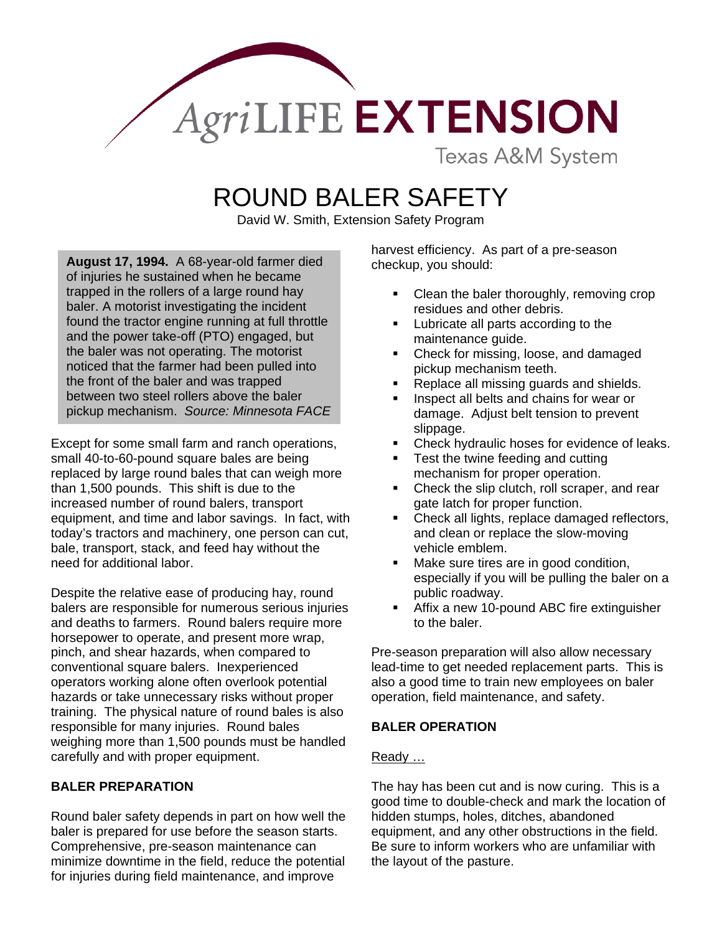

**Texas A&M System** 

# ROUND BALER SAFETY

David W. Smith, Extension Safety Program

August 17, 1994. A 68-year-old farmer died checkup, you should: of injuries he sustained when he became trapped in the rollers of a large round hay baler. A motorist investigating the incident found the tractor engine running at full throttle and the power take-off (PTO) engaged, but the baler was not operating. The motorist noticed that the farmer had been pulled into the front of the baler and was trapped between two steel rollers above the baler pickup mechanism. *Source: Minnesota FACE* 

Except for some small farm and ranch operations, small 40-to-60-pound square bales are being replaced by large round bales that can weigh more than 1,500 pounds. This shift is due to the increased number of round balers, transport equipment, and time and labor savings. In fact, with today's tractors and machinery, one person can cut, bale, transport, stack, and feed hay without the need for additional labor.

Despite the relative ease of producing hay, round balers are responsible for numerous serious injuries and deaths to farmers. Round balers require more horsepower to operate, and present more wrap, pinch, and shear hazards, when compared to conventional square balers. Inexperienced operators working alone often overlook potential hazards or take unnecessary risks without proper training. The physical nature of round bales is also responsible for many injuries. Round bales weighing more than 1,500 pounds must be handled carefully and with proper equipment.

## **BALER PREPARATION**

Round baler safety depends in part on how well the baler is prepared for use before the season starts. Comprehensive, pre-season maintenance can minimize downtime in the field, reduce the potential for injuries during field maintenance, and improve

harvest efficiency. As part of a pre-season

- Clean the baler thoroughly, removing crop residues and other debris.
- Lubricate all parts according to the maintenance guide.
- Check for missing, loose, and damaged pickup mechanism teeth.
- Replace all missing guards and shields.
- Inspect all belts and chains for wear or damage. Adjust belt tension to prevent slippage.
- Check hydraulic hoses for evidence of leaks.
- Test the twine feeding and cutting mechanism for proper operation.
- Check the slip clutch, roll scraper, and rear gate latch for proper function.
- Check all lights, replace damaged reflectors, and clean or replace the slow-moving vehicle emblem.
- Make sure tires are in good condition, especially if you will be pulling the baler on a public roadway.
- Affix a new 10-pound ABC fire extinguisher to the baler.

Pre-season preparation will also allow necessary lead-time to get needed replacement parts. This is also a good time to train new employees on baler operation, field maintenance, and safety.

## **BALER OPERATION**

## Ready …

The hay has been cut and is now curing. This is a good time to double-check and mark the location of hidden stumps, holes, ditches, abandoned equipment, and any other obstructions in the field. Be sure to inform workers who are unfamiliar with the layout of the pasture.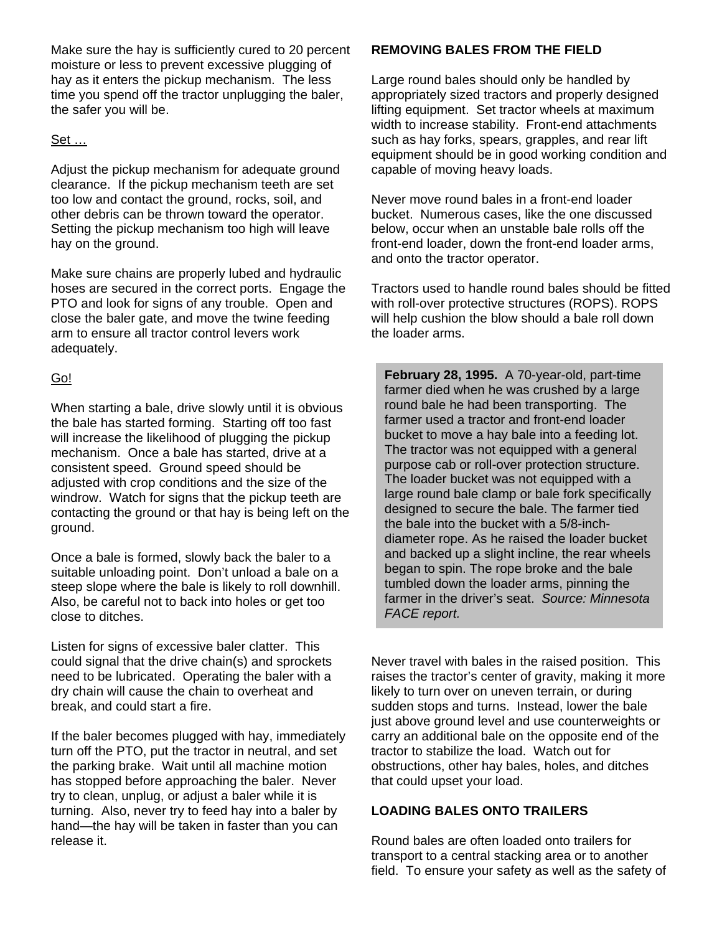Make sure the hay is sufficiently cured to 20 percent moisture or less to prevent excessive plugging of hay as it enters the pickup mechanism. The less time you spend off the tractor unplugging the baler, the safer you will be.

## Set …

Adjust the pickup mechanism for adequate ground clearance. If the pickup mechanism teeth are set too low and contact the ground, rocks, soil, and other debris can be thrown toward the operator. Setting the pickup mechanism too high will leave hay on the ground.

Make sure chains are properly lubed and hydraulic hoses are secured in the correct ports. Engage the PTO and look for signs of any trouble. Open and close the baler gate, and move the twine feeding arm to ensure all tractor control levers work adequately.

## Go!

When starting a bale, drive slowly until it is obvious the bale has started forming. Starting off too fast will increase the likelihood of plugging the pickup mechanism. Once a bale has started, drive at a consistent speed. Ground speed should be adjusted with crop conditions and the size of the windrow. Watch for signs that the pickup teeth are contacting the ground or that hay is being left on the ground.

Once a bale is formed, slowly back the baler to a suitable unloading point. Don't unload a bale on a steep slope where the bale is likely to roll downhill. Also, be careful not to back into holes or get too close to ditches.

Listen for signs of excessive baler clatter. This could signal that the drive chain(s) and sprockets need to be lubricated. Operating the baler with a dry chain will cause the chain to overheat and break, and could start a fire.

If the baler becomes plugged with hay, immediately turn off the PTO, put the tractor in neutral, and set the parking brake. Wait until all machine motion has stopped before approaching the baler. Never try to clean, unplug, or adjust a baler while it is turning. Also, never try to feed hay into a baler by hand—the hay will be taken in faster than you can release it.

## **REMOVING BALES FROM THE FIELD**

Large round bales should only be handled by appropriately sized tractors and properly designed lifting equipment. Set tractor wheels at maximum width to increase stability. Front-end attachments such as hay forks, spears, grapples, and rear lift equipment should be in good working condition and capable of moving heavy loads.

Never move round bales in a front-end loader bucket. Numerous cases, like the one discussed below, occur when an unstable bale rolls off the front-end loader, down the front-end loader arms, and onto the tractor operator.

Tractors used to handle round bales should be fitted with roll-over protective structures (ROPS). ROPS will help cushion the blow should a bale roll down the loader arms.

**February 28, 1995.** A 70-year-old, part-time farmer died when he was crushed by a large round bale he had been transporting. The farmer used a tractor and front-end loader bucket to move a hay bale into a feeding lot. The tractor was not equipped with a general purpose cab or roll-over protection structure. The loader bucket was not equipped with a large round bale clamp or bale fork specifically designed to secure the bale. The farmer tied the bale into the bucket with a 5/8-inchdiameter rope. As he raised the loader bucket and backed up a slight incline, the rear wheels began to spin. The rope broke and the bale tumbled down the loader arms, pinning the farmer in the driver's seat. *Source: Minnesota FACE report.* 

Never travel with bales in the raised position. This raises the tractor's center of gravity, making it more likely to turn over on uneven terrain, or during sudden stops and turns. Instead, lower the bale just above ground level and use counterweights or carry an additional bale on the opposite end of the tractor to stabilize the load. Watch out for obstructions, other hay bales, holes, and ditches that could upset your load.

### **LOADING BALES ONTO TRAILERS**

Round bales are often loaded onto trailers for transport to a central stacking area or to another field. To ensure your safety as well as the safety of